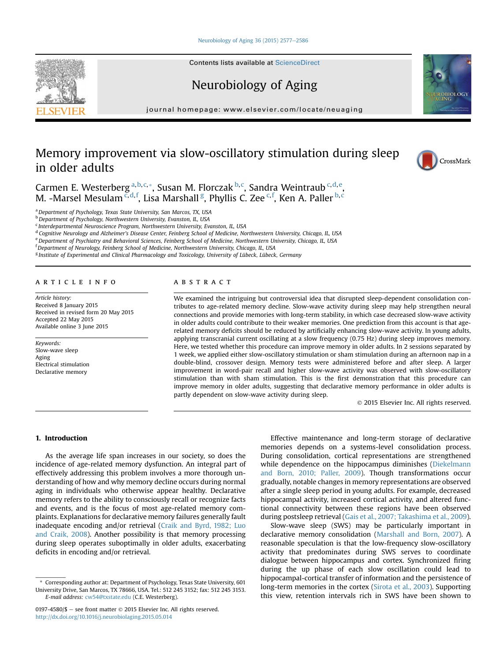### [Neurobiology of Aging 36 \(2015\) 2577](http://dx.doi.org/10.1016/j.neurobiolaging.2015.05.014)-[2586](http://dx.doi.org/10.1016/j.neurobiolaging.2015.05.014)

Contents lists available at ScienceDirect

# Neurobiology of Aging

journal homepage: [www.elsevier.com/locate/neuaging](http://www.elsevier.com/locate/neuaging)

# Memory improvement via slow-oscillatory stimulation during sleep in older adults

Carmen E. Westerberg <sup>a, b, c,</sup> \*, Susan M. Florczak <sup>b, c</sup>, Sandra Weintraub <sup>c, d, e</sup>, M. -Marsel Mesulam<sup>c,d,f</sup>, Lisa Marshall <sup>g</sup>, Phyllis C. Zee <sup>c,f</sup>, Ken A. Paller <sup>b,c</sup>

a Department of Psychology, Texas State University, San Marcos, TX, USA

**b** Department of Psychology, Northwestern University, Evanston, IL, USA

 $c$  Interdepartmental Neuroscience Program, Northwestern University, Evanston, IL, USA

<sup>d</sup> Cognitive Neurology and Alzheimer's Disease Center, Feinberg School of Medicine, Northwestern University, Chicago, IL, USA

e Department of Psychiatry and Behavioral Sciences, Feinberg School of Medicine, Northwestern University, Chicago, IL, USA

<sup>f</sup> Department of Neurology, Feinberg School of Medicine, Northwestern University, Chicago, IL, USA

<sup>g</sup> Institute of Experimental and Clinical Pharmacology and Toxicology, University of Lübeck, Lübeck, Germany

## article info

Article history: Received 8 January 2015 Received in revised form 20 May 2015 Accepted 22 May 2015 Available online 3 June 2015

Keywords: Slow-wave sleep Aging Electrical stimulation Declarative memory

# **ABSTRACT**

We examined the intriguing but controversial idea that disrupted sleep-dependent consolidation contributes to age-related memory decline. Slow-wave activity during sleep may help strengthen neural connections and provide memories with long-term stability, in which case decreased slow-wave activity in older adults could contribute to their weaker memories. One prediction from this account is that agerelated memory deficits should be reduced by artificially enhancing slow-wave activity. In young adults, applying transcranial current oscillating at a slow frequency (0.75 Hz) during sleep improves memory. Here, we tested whether this procedure can improve memory in older adults. In 2 sessions separated by 1 week, we applied either slow-oscillatory stimulation or sham stimulation during an afternoon nap in a double-blind, crossover design. Memory tests were administered before and after sleep. A larger improvement in word-pair recall and higher slow-wave activity was observed with slow-oscillatory stimulation than with sham stimulation. This is the first demonstration that this procedure can improve memory in older adults, suggesting that declarative memory performance in older adults is partly dependent on slow-wave activity during sleep.

2015 Elsevier Inc. All rights reserved.

## 1. Introduction

As the average life span increases in our society, so does the incidence of age-related memory dysfunction. An integral part of effectively addressing this problem involves a more thorough understanding of how and why memory decline occurs during normal aging in individuals who otherwise appear healthy. Declarative memory refers to the ability to consciously recall or recognize facts and events, and is the focus of most age-related memory complaints. Explanations for declarative memory failures generally fault inadequate encoding and/or retrieval ([Craik and Byrd, 1982; Luo](#page-8-0) [and Craik, 2008\)](#page-8-0). Another possibility is that memory processing during sleep operates suboptimally in older adults, exacerbating deficits in encoding and/or retrieval.

Effective maintenance and long-term storage of declarative memories depends on a systems-level consolidation process. During consolidation, cortical representations are strengthened while dependence on the hippocampus diminishes [\(Diekelmann](#page-8-0) [and Born, 2010; Paller, 2009](#page-8-0)). Though transformations occur gradually, notable changes in memory representations are observed after a single sleep period in young adults. For example, decreased hippocampal activity, increased cortical activity, and altered functional connectivity between these regions have been observed during postsleep retrieval [\(Gais et al., 2007; Takashima et al., 2009\)](#page-8-0).

Slow-wave sleep (SWS) may be particularly important in declarative memory consolidation [\(Marshall and Born, 2007](#page-9-0)). A reasonable speculation is that the low-frequency slow-oscillatory activity that predominates during SWS serves to coordinate dialogue between hippocampus and cortex. Synchronized firing during the up phase of each slow oscillation could lead to hippocampal-cortical transfer of information and the persistence of long-term memories in the cortex ([Sirota et al., 2003](#page-9-0)). Supporting this view, retention intervals rich in SWS have been shown to







<sup>\*</sup> Corresponding author at: Department of Psychology, Texas State University, 601 University Drive, San Marcos, TX 78666, USA. Tel.: 512 245 3152; fax: 512 245 3153. E-mail address: [cw54@txstate.edu](mailto:cw54@txstate.edu) (C.E. Westerberg).

<sup>0197-4580/\$</sup>  $-$  see front matter  $\odot$  2015 Elsevier Inc. All rights reserved. <http://dx.doi.org/10.1016/j.neurobiolaging.2015.05.014>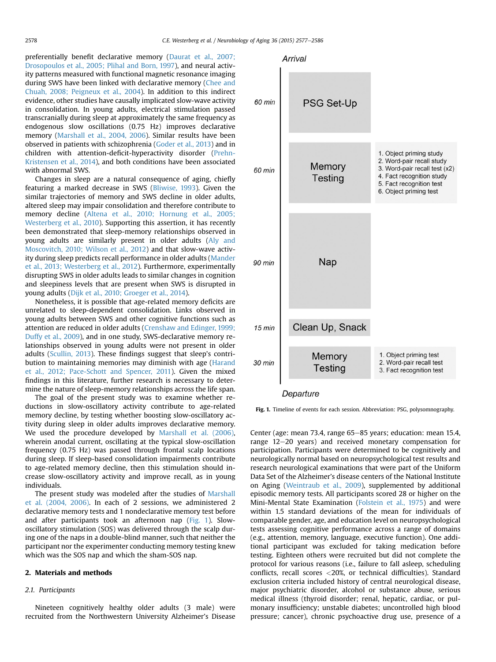<span id="page-1-0"></span>preferentially benefit declarative memory ([Daurat et al., 2007;](#page-8-0) [Drosopoulos et al., 2005; Plihal and Born, 1997](#page-8-0)), and neural activity patterns measured with functional magnetic resonance imaging during SWS have been linked with declarative memory ([Chee and](#page-8-0) [Chuah, 2008; Peigneux et al., 2004](#page-8-0)). In addition to this indirect evidence, other studies have causally implicated slow-wave activity in consolidation. In young adults, electrical stimulation passed transcranially during sleep at approximately the same frequency as endogenous slow oscillations (0.75 Hz) improves declarative memory ([Marshall et al., 2004, 2006](#page-9-0)). Similar results have been observed in patients with schizophrenia ([Goder et al., 2013\)](#page-8-0) and in children with attention-deficit-hyperactivity disorder [\(Prehn-](#page-9-0)[Kristensen et al., 2014](#page-9-0)), and both conditions have been associated with abnormal SWS.

Changes in sleep are a natural consequence of aging, chiefly featuring a marked decrease in SWS [\(Bliwise, 1993](#page-8-0)). Given the similar trajectories of memory and SWS decline in older adults, altered sleep may impair consolidation and therefore contribute to memory decline [\(Altena et al., 2010; Hornung et al., 2005;](#page-8-0) [Westerberg et al., 2010](#page-8-0)). Supporting this assertion, it has recently been demonstrated that sleep-memory relationships observed in young adults are similarly present in older adults ([Aly and](#page-8-0) [Moscovitch, 2010; Wilson et al., 2012\)](#page-8-0) and that slow-wave activity during sleep predicts recall performance in older adults [\(Mander](#page-9-0) [et al., 2013; Westerberg et al., 2012\)](#page-9-0). Furthermore, experimentally disrupting SWS in older adults leads to similar changes in cognition and sleepiness levels that are present when SWS is disrupted in young adults ([Dijk et al., 2010; Groeger et al., 2014\)](#page-8-0).

Nonetheless, it is possible that age-related memory deficits are unrelated to sleep-dependent consolidation. Links observed in young adults between SWS and other cognitive functions such as attention are reduced in older adults ([Crenshaw and Edinger, 1999;](#page-8-0) [Duffy et al., 2009\)](#page-8-0), and in one study, SWS-declarative memory relationships observed in young adults were not present in older adults ([Scullin, 2013\)](#page-9-0). These findings suggest that sleep's contribution to maintaining memories may diminish with age [\(Harand](#page-8-0) [et al., 2012; Pace-Schott and Spencer, 2011](#page-8-0)). Given the mixed findings in this literature, further research is necessary to determine the nature of sleep-memory relationships across the life span.

The goal of the present study was to examine whether reductions in slow-oscillatory activity contribute to age-related memory decline, by testing whether boosting slow-oscillatory activity during sleep in older adults improves declarative memory. We used the procedure developed by [Marshall et al. \(2006\),](#page-9-0) wherein anodal current, oscillating at the typical slow-oscillation frequency (0.75 Hz) was passed through frontal scalp locations during sleep. If sleep-based consolidation impairments contribute to age-related memory decline, then this stimulation should increase slow-oscillatory activity and improve recall, as in young individuals.

The present study was modeled after the studies of [Marshall](#page-9-0) [et al. \(2004, 2006\).](#page-9-0) In each of 2 sessions, we administered 2 declarative memory tests and 1 nondeclarative memory test before and after participants took an afternoon nap (Fig. 1). Slowoscillatory stimulation (SOS) was delivered through the scalp during one of the naps in a double-blind manner, such that neither the participant nor the experimenter conducting memory testing knew which was the SOS nap and which the sham-SOS nap.

# 2. Materials and methods

#### 2.1. Participants

Nineteen cognitively healthy older adults (3 male) were recruited from the Northwestern University Alzheimer's Disease



Fig. 1. Timeline of events for each session. Abbreviation: PSG, polysomnography.

Center (age: mean 73.4, range  $65-85$  years; education: mean 15.4, range  $12-20$  years) and received monetary compensation for participation. Participants were determined to be cognitively and neurologically normal based on neuropsychological test results and research neurological examinations that were part of the Uniform Data Set of the Alzheimer's disease centers of the National Institute on Aging ([Weintraub et al., 2009\)](#page-9-0), supplemented by additional episodic memory tests. All participants scored 28 or higher on the Mini-Mental State Examination [\(Folstein et al., 1975\)](#page-8-0) and were within 1.5 standard deviations of the mean for individuals of comparable gender, age, and education level on neuropsychological tests assessing cognitive performance across a range of domains (e.g., attention, memory, language, executive function). One additional participant was excluded for taking medication before testing. Eighteen others were recruited but did not complete the protocol for various reasons (i.e., failure to fall asleep, scheduling conflicts, recall scores <20%, or technical difficulties). Standard exclusion criteria included history of central neurological disease, major psychiatric disorder, alcohol or substance abuse, serious medical illness (thyroid disorder; renal, hepatic, cardiac, or pulmonary insufficiency; unstable diabetes; uncontrolled high blood pressure; cancer), chronic psychoactive drug use, presence of a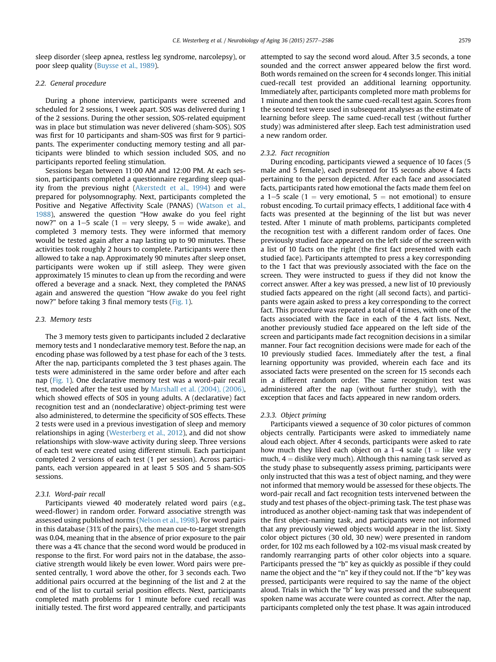sleep disorder (sleep apnea, restless leg syndrome, narcolepsy), or poor sleep quality [\(Buysse et al., 1989](#page-8-0)).

## 2.2. General procedure

During a phone interview, participants were screened and scheduled for 2 sessions, 1 week apart. SOS was delivered during 1 of the 2 sessions. During the other session, SOS-related equipment was in place but stimulation was never delivered (sham-SOS). SOS was first for 10 participants and sham-SOS was first for 9 participants. The experimenter conducting memory testing and all participants were blinded to which session included SOS, and no participants reported feeling stimulation.

Sessions began between 11:00 AM and 12:00 PM. At each session, participants completed a questionnaire regarding sleep quality from the previous night [\(Akerstedt et al., 1994\)](#page-8-0) and were prepared for polysomnography. Next, participants completed the Positive and Negative Affectivity Scale (PANAS) ([Watson et al.,](#page-9-0) [1988\)](#page-9-0), answered the question "How awake do you feel right now?" on a 1–5 scale (1 = very sleepy, 5 = wide awake), and completed 3 memory tests. They were informed that memory would be tested again after a nap lasting up to 90 minutes. These activities took roughly 2 hours to complete. Participants were then allowed to take a nap. Approximately 90 minutes after sleep onset, participants were woken up if still asleep. They were given approximately 15 minutes to clean up from the recording and were offered a beverage and a snack. Next, they completed the PANAS again and answered the question "How awake do you feel right now?" before taking 3 final memory tests [\(Fig. 1\)](#page-1-0).

#### 2.3. Memory tests

The 3 memory tests given to participants included 2 declarative memory tests and 1 nondeclarative memory test. Before the nap, an encoding phase was followed by a test phase for each of the 3 tests. After the nap, participants completed the 3 test phases again. The tests were administered in the same order before and after each nap ([Fig. 1](#page-1-0)). One declarative memory test was a word-pair recall test, modeled after the test used by [Marshall et al. \(2004\), \(2006\)](#page-9-0), which showed effects of SOS in young adults. A (declarative) fact recognition test and an (nondeclarative) object-priming test were also administered, to determine the specificity of SOS effects. These 2 tests were used in a previous investigation of sleep and memory relationships in aging ([Westerberg et al., 2012\)](#page-9-0), and did not show relationships with slow-wave activity during sleep. Three versions of each test were created using different stimuli. Each participant completed 2 versions of each test (1 per session). Across participants, each version appeared in at least 5 SOS and 5 sham-SOS sessions.

#### 2.3.1. Word-pair recall

Participants viewed 40 moderately related word pairs (e.g., weed-flower) in random order. Forward associative strength was assessed using published norms ([Nelson et al., 1998\)](#page-9-0). For word pairs in this database (31% of the pairs), the mean cue-to-target strength was 0.04, meaning that in the absence of prior exposure to the pair there was a 4% chance that the second word would be produced in response to the first. For word pairs not in the database, the associative strength would likely be even lower. Word pairs were presented centrally, 1 word above the other, for 3 seconds each. Two additional pairs occurred at the beginning of the list and 2 at the end of the list to curtail serial position effects. Next, participants completed math problems for 1 minute before cued recall was initially tested. The first word appeared centrally, and participants

attempted to say the second word aloud. After 3.5 seconds, a tone sounded and the correct answer appeared below the first word. Both words remained on the screen for 4 seconds longer. This initial cued-recall test provided an additional learning opportunity. Immediately after, participants completed more math problems for 1 minute and then took the same cued-recall test again. Scores from the second test were used in subsequent analyses as the estimate of learning before sleep. The same cued-recall test (without further study) was administered after sleep. Each test administration used a new random order.

#### 2.3.2. Fact recognition

During encoding, participants viewed a sequence of 10 faces (5 male and 5 female), each presented for 15 seconds above 4 facts pertaining to the person depicted. After each face and associated facts, participants rated how emotional the facts made them feel on a 1–5 scale (1 = very emotional,  $5$  = not emotional) to ensure robust encoding. To curtail primacy effects, 1 additional face with 4 facts was presented at the beginning of the list but was never tested. After 1 minute of math problems, participants completed the recognition test with a different random order of faces. One previously studied face appeared on the left side of the screen with a list of 10 facts on the right (the first fact presented with each studied face). Participants attempted to press a key corresponding to the 1 fact that was previously associated with the face on the screen. They were instructed to guess if they did not know the correct answer. After a key was pressed, a new list of 10 previously studied facts appeared on the right (all second facts), and participants were again asked to press a key corresponding to the correct fact. This procedure was repeated a total of 4 times, with one of the facts associated with the face in each of the 4 fact lists. Next, another previously studied face appeared on the left side of the screen and participants made fact recognition decisions in a similar manner. Four fact recognition decisions were made for each of the 10 previously studied faces. Immediately after the test, a final learning opportunity was provided, wherein each face and its associated facts were presented on the screen for 15 seconds each in a different random order. The same recognition test was administered after the nap (without further study), with the exception that faces and facts appeared in new random orders.

### 2.3.3. Object priming

Participants viewed a sequence of 30 color pictures of common objects centrally. Participants were asked to immediately name aloud each object. After 4 seconds, participants were asked to rate how much they liked each object on a  $1-4$  scale ( $1 =$  like very much,  $4 =$  dislike very much). Although this naming task served as the study phase to subsequently assess priming, participants were only instructed that this was a test of object naming, and they were not informed that memory would be assessed for these objects. The word-pair recall and fact recognition tests intervened between the study and test phases of the object-priming task. The test phase was introduced as another object-naming task that was independent of the first object-naming task, and participants were not informed that any previously viewed objects would appear in the list. Sixty color object pictures (30 old, 30 new) were presented in random order, for 102 ms each followed by a 102-ms visual mask created by randomly rearranging parts of other color objects into a square. Participants pressed the "b" key as quickly as possible if they could name the object and the "n" key if they could not. If the "b" key was pressed, participants were required to say the name of the object aloud. Trials in which the "b" key was pressed and the subsequent spoken name was accurate were counted as correct. After the nap, participants completed only the test phase. It was again introduced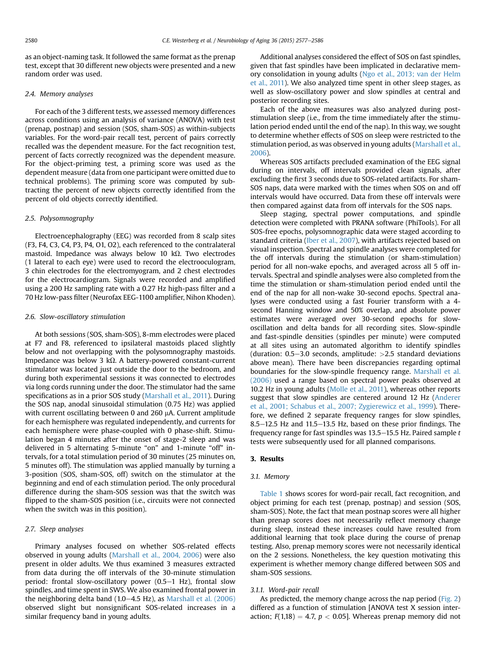as an object-naming task. It followed the same format as the prenap test, except that 30 different new objects were presented and a new random order was used.

#### 2.4. Memory analyses

For each of the 3 different tests, we assessed memory differences across conditions using an analysis of variance (ANOVA) with test (prenap, postnap) and session (SOS, sham-SOS) as within-subjects variables. For the word-pair recall test, percent of pairs correctly recalled was the dependent measure. For the fact recognition test, percent of facts correctly recognized was the dependent measure. For the object-priming test, a priming score was used as the dependent measure (data from one participant were omitted due to technical problems). The priming score was computed by subtracting the percent of new objects correctly identified from the percent of old objects correctly identified.

# 2.5. Polysomnography

Electroencephalography (EEG) was recorded from 8 scalp sites (F3, F4, C3, C4, P3, P4, O1, O2), each referenced to the contralateral mastoid. Impedance was always below 10  $k\Omega$ . Two electrodes (1 lateral to each eye) were used to record the electrooculogram, 3 chin electrodes for the electromyogram, and 2 chest electrodes for the electrocardiogram. Signals were recorded and amplified using a 200 Hz sampling rate with a 0.27 Hz high-pass filter and a 70 Hz low-pass filter (Neurofax EEG-1100 amplifier, Nihon Khoden).

## 2.6. Slow-oscillatory stimulation

At both sessions (SOS, sham-SOS), 8-mm electrodes were placed at F7 and F8, referenced to ipsilateral mastoids placed slightly below and not overlapping with the polysomnography mastoids. Impedance was below 3  $k\Omega$ . A battery-powered constant-current stimulator was located just outside the door to the bedroom, and during both experimental sessions it was connected to electrodes via long cords running under the door. The stimulator had the same specifications as in a prior SOS study [\(Marshall et al., 2011\)](#page-9-0). During the SOS nap, anodal sinusoidal stimulation (0.75 Hz) was applied with current oscillating between 0 and 260  $\mu$ A. Current amplitude for each hemisphere was regulated independently, and currents for each hemisphere were phase-coupled with 0 phase-shift. Stimulation began 4 minutes after the onset of stage-2 sleep and was delivered in 5 alternating 5-minute "on" and 1-minute "off" intervals, for a total stimulation period of 30 minutes (25 minutes on, 5 minutes off). The stimulation was applied manually by turning a 3-position (SOS, sham-SOS, off) switch on the stimulator at the beginning and end of each stimulation period. The only procedural difference during the sham-SOS session was that the switch was flipped to the sham-SOS position (i.e., circuits were not connected when the switch was in this position).

# 2.7. Sleep analyses

Primary analyses focused on whether SOS-related effects observed in young adults [\(Marshall et al., 2004, 2006\)](#page-9-0) were also present in older adults. We thus examined 3 measures extracted from data during the off intervals of the 30-minute stimulation period: frontal slow-oscillatory power  $(0.5-1$  Hz), frontal slow spindles, and time spent in SWS. We also examined frontal power in the neighboring delta band  $(1.0-4.5 \text{ Hz})$ , as Marshall et al.  $(2006)$ observed slight but nonsignificant SOS-related increases in a similar frequency band in young adults.

Additional analyses considered the effect of SOS on fast spindles, given that fast spindles have been implicated in declarative memory consolidation in young adults ([Ngo et al., 2013; van der Helm](#page-9-0) [et al., 2011\)](#page-9-0). We also analyzed time spent in other sleep stages, as well as slow-oscillatory power and slow spindles at central and posterior recording sites.

Each of the above measures was also analyzed during poststimulation sleep (i.e., from the time immediately after the stimulation period ended until the end of the nap). In this way, we sought to determine whether effects of SOS on sleep were restricted to the stimulation period, as was observed in young adults [\(Marshall et al.,](#page-9-0) [2006](#page-9-0)).

Whereas SOS artifacts precluded examination of the EEG signal during on intervals, off intervals provided clean signals, after excluding the first 3 seconds due to SOS-related artifacts. For sham-SOS naps, data were marked with the times when SOS on and off intervals would have occurred. Data from these off intervals were then compared against data from off intervals for the SOS naps.

Sleep staging, spectral power computations, and spindle detection were completed with PRANA software (PhiTools). For all SOS-free epochs, polysomnographic data were staged according to standard criteria [\(Iber et al., 2007\)](#page-8-0), with artifacts rejected based on visual inspection. Spectral and spindle analyses were completed for the off intervals during the stimulation (or sham-stimulation) period for all non-wake epochs, and averaged across all 5 off intervals. Spectral and spindle analyses were also completed from the time the stimulation or sham-stimulation period ended until the end of the nap for all non-wake 30-second epochs. Spectral analyses were conducted using a fast Fourier transform with a 4 second Hanning window and 50% overlap, and absolute power estimates were averaged over 30-second epochs for slowoscillation and delta bands for all recording sites. Slow-spindle and fast-spindle densities (spindles per minute) were computed at all sites using an automated algorithm to identify spindles (duration:  $0.5-3.0$  seconds, amplitude:  $>2.5$  standard deviations above mean). There have been discrepancies regarding optimal boundaries for the slow-spindle frequency range. [Marshall et al.](#page-9-0) [\(2006\)](#page-9-0) used a range based on spectral power peaks observed at 10.2 Hz in young adults ([Molle et al., 2011\)](#page-9-0), whereas other reports suggest that slow spindles are centered around 12 Hz ([Anderer](#page-8-0) [et al., 2001; Schabus et al., 2007; Zygierewicz et al., 1999\)](#page-8-0). Therefore, we defined 2 separate frequency ranges for slow spindles, 8.5 $-12.5$  Hz and 11.5 $-13.5$  Hz, based on these prior findings. The frequency range for fast spindles was  $13.5-15.5$  Hz. Paired sample t tests were subsequently used for all planned comparisons.

## 3. Results

# 3.1. Memory

[Table 1](#page-4-0) shows scores for word-pair recall, fact recognition, and object priming for each test (prenap, postnap) and session (SOS, sham-SOS). Note, the fact that mean postnap scores were all higher than prenap scores does not necessarily reflect memory change during sleep, instead these increases could have resulted from additional learning that took place during the course of prenap testing. Also, prenap memory scores were not necessarily identical on the 2 sessions. Nonetheless, the key question motivating this experiment is whether memory change differed between SOS and sham-SOS sessions.

#### 3.1.1. Word-pair recall

As predicted, the memory change across the nap period [\(Fig. 2](#page-4-0)) differed as a function of stimulation [ANOVA test X session interaction;  $F(1,18) = 4.7$ ,  $p < 0.05$ ]. Whereas prenap memory did not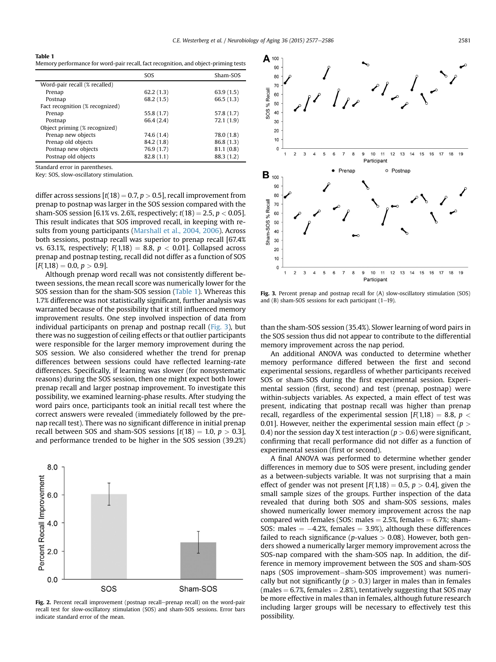<span id="page-4-0"></span>Table 1 Memory performance for word-pair recall, fact recognition, and object-priming tests

|                                 | <b>SOS</b> | Sham-SOS   |
|---------------------------------|------------|------------|
| Word-pair recall (% recalled)   |            |            |
| Prenap                          | 62.2(1.3)  | 63.9(1.5)  |
| Postnap                         | 68.2(1.5)  | 66.5(1.3)  |
| Fact recognition (% recognized) |            |            |
| Prenap                          | 55.8 (1.7) | 57.8 (1.7) |
| Postnap                         | 66.4 (2.4) | 72.1 (1.9) |
| Object priming (% recognized)   |            |            |
| Prenap new objects              | 74.6 (1.4) | 78.0 (1.8) |
| Prenap old objects              | 84.2 (1.8) | 86.8 (1.3) |
| Postnap new objects             | 76.9(1.7)  | 81.1(0.8)  |
| Postnap old objects             | 82.8(1.1)  | 88.3 (1.2) |

Standard error in parentheses.

Key: SOS, slow-oscillatory stimulation.

differ across sessions  $[t(18) = 0.7, p > 0.5]$ , recall improvement from prenap to postnap was larger in the SOS session compared with the sham-SOS session [6.1% vs. 2.6%, respectively;  $t(18) = 2.5, p < 0.05$ ]. This result indicates that SOS improved recall, in keeping with results from young participants [\(Marshall et al., 2004, 2006](#page-9-0)). Across both sessions, postnap recall was superior to prenap recall [67.4% vs. 63.1%, respectively;  $F(1,18) = 8.8$ ,  $p < 0.01$ ]. Collapsed across prenap and postnap testing, recall did not differ as a function of SOS  $[F(1,18) = 0.0, p > 0.9].$ 

Although prenap word recall was not consistently different between sessions, the mean recall score was numerically lower for the SOS session than for the sham-SOS session (Table 1). Whereas this 1.7% difference was not statistically significant, further analysis was warranted because of the possibility that it still influenced memory improvement results. One step involved inspection of data from individual participants on prenap and postnap recall (Fig. 3), but there was no suggestion of ceiling effects or that outlier participants were responsible for the larger memory improvement during the SOS session. We also considered whether the trend for prenap differences between sessions could have reflected learning-rate differences. Specifically, if learning was slower (for nonsystematic reasons) during the SOS session, then one might expect both lower prenap recall and larger postnap improvement. To investigate this possibility, we examined learning-phase results. After studying the word pairs once, participants took an initial recall test where the correct answers were revealed (immediately followed by the prenap recall test). There was no significant difference in initial prenap recall between SOS and sham-SOS sessions  $[t(18) = 1.0, p > 0.3]$ , and performance trended to be higher in the SOS session (39.2%)



Fig. 2. Percent recall improvement (postnap recall-prenap recall) on the word-pair recall test for slow-oscillatory stimulation (SOS) and sham-SOS sessions. Error bars indicate standard error of the mean.



Fig. 3. Percent prenap and postnap recall for (A) slow-oscillatory stimulation (SOS) and (B) sham-SOS sessions for each participant  $(1-19)$ .

than the sham-SOS session (35.4%). Slower learning of word pairs in the SOS session thus did not appear to contribute to the differential memory improvement across the nap period.

An additional ANOVA was conducted to determine whether memory performance differed between the first and second experimental sessions, regardless of whether participants received SOS or sham-SOS during the first experimental session. Experimental session (first, second) and test (prenap, postnap) were within-subjects variables. As expected, a main effect of test was present, indicating that postnap recall was higher than prenap recall, regardless of the experimental session  $[F(1,18) = 8.8, p <$ 0.01]. However, neither the experimental session main effect ( $p >$ 0.4) nor the session day X test interaction ( $p > 0.6$ ) were significant, confirming that recall performance did not differ as a function of experimental session (first or second).

A final ANOVA was performed to determine whether gender differences in memory due to SOS were present, including gender as a between-subjects variable. It was not surprising that a main effect of gender was not present  $[F(1,18) = 0.5, p > 0.4]$ , given the small sample sizes of the groups. Further inspection of the data revealed that during both SOS and sham-SOS sessions, males showed numerically lower memory improvement across the nap compared with females (SOS: males  $= 2.5$ %, females  $= 6.7$ %; sham-SOS: males  $= -4.2\%$ , females  $= 3.9\%$ ), although these differences failed to reach significance (p-values  $> 0.08$ ). However, both genders showed a numerically larger memory improvement across the SOS-nap compared with the sham-SOS nap. In addition, the difference in memory improvement between the SOS and sham-SOS naps (SOS improvement-sham-SOS improvement) was numerically but not significantly ( $p > 0.3$ ) larger in males than in females (males  $= 6.7$ %, females  $= 2.8$ %), tentatively suggesting that SOS may be more effective in males than in females, although future research including larger groups will be necessary to effectively test this possibility.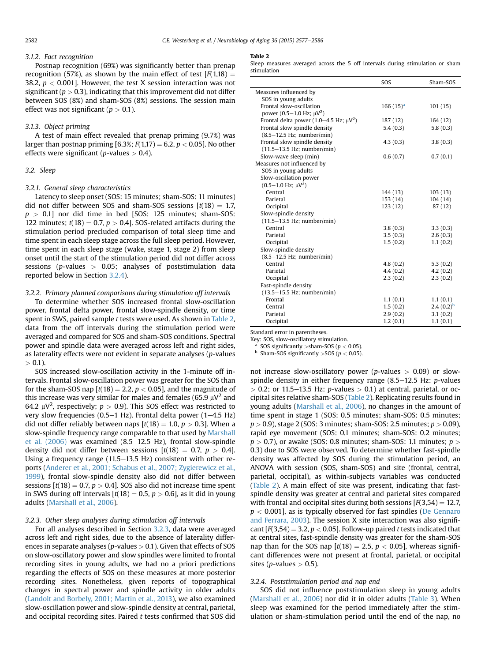#### 3.1.2. Fact recognition

Postnap recognition (69%) was significantly better than prenap recognition (57%), as shown by the main effect of test  $[F(1,18) =$ 38.2,  $p < 0.001$ ]. However, the test X session interaction was not significant ( $p > 0.3$ ), indicating that this improvement did not differ between SOS (8%) and sham-SOS (8%) sessions. The session main effect was not significant ( $p > 0.1$ ).

#### 3.1.3. Object priming

A test of main effect revealed that prenap priming (9.7%) was larger than postnap priming [6.3%;  $F(1,17) = 6.2$ ,  $p < 0.05$ ]. No other effects were significant (*p*-values  $> 0.4$ ).

## 3.2. Sleep

## 3.2.1. General sleep characteristics

Latency to sleep onset (SOS: 15 minutes; sham-SOS: 11 minutes) did not differ between SOS and sham-SOS sessions  $[t(18) = 1.7,$  $p > 0.1$ ] nor did time in bed [SOS: 125 minutes; sham-SOS: 122 minutes;  $t(18) = 0.7$ ,  $p > 0.4$ ]. SOS-related artifacts during the stimulation period precluded comparison of total sleep time and time spent in each sleep stage across the full sleep period. However, time spent in each sleep stage (wake, stage 1, stage 2) from sleep onset until the start of the stimulation period did not differ across sessions ( $p$ -values  $> 0.05$ ; analyses of poststimulation data reported below in Section 3.2.4).

## 3.2.2. Primary planned comparisons during stimulation off intervals

To determine whether SOS increased frontal slow-oscillation power, frontal delta power, frontal slow-spindle density, or time spent in SWS, paired sample t tests were used. As shown in Table 2, data from the off intervals during the stimulation period were averaged and compared for SOS and sham-SOS conditions. Spectral power and spindle data were averaged across left and right sides, as laterality effects were not evident in separate analyses  $(p$ -values  $> 0.1$ ).

SOS increased slow-oscillation activity in the 1-minute off intervals. Frontal slow-oscillation power was greater for the SOS than for the sham-SOS nap  $[t(18) = 2.2, p < 0.05]$ , and the magnitude of this increase was very similar for males and females (65.9  $\mu$ V<sup>2</sup> and 64.2  $\mu$ V<sup>2</sup>, respectively;  $p > 0.9$ ). This SOS effect was restricted to very slow frequencies (0.5–1 Hz). Frontal delta power (1–4.5 Hz) did not differ reliably between naps  $[t(18) = 1.0, p > 0.3]$ . When a slow-spindle frequency range comparable to that used by [Marshall](#page-9-0) et al.  $(2006)$  was examined  $(8.5–12.5$  Hz), frontal slow-spindle density did not differ between sessions  $[t(18) = 0.7, p > 0.4]$ . Using a frequency range  $(11.5-13.5 \text{ Hz})$  consistent with other reports [\(Anderer et al., 2001; Schabus et al., 2007; Zygierewicz et al.,](#page-8-0) [1999\)](#page-8-0), frontal slow-spindle density also did not differ between sessions  $[t(18) = 0.7, p > 0.4]$ . SOS also did not increase time spent in SWS during off intervals  $[t(18) = 0.5, p > 0.6]$ , as it did in young adults ([Marshall et al., 2006](#page-9-0)).

## 3.2.3. Other sleep analyses during stimulation off intervals

For all analyses described in Section 3.2.3, data were averaged across left and right sides, due to the absence of laterality differences in separate analyses ( $p$ -values  $> 0.1$ ). Given that effects of SOS on slow-oscillatory power and slow spindles were limited to frontal recording sites in young adults, we had no a priori predictions regarding the effects of SOS on these measures at more posterior recording sites. Nonetheless, given reports of topographical changes in spectral power and spindle activity in older adults [\(Landolt and Borbely, 2001; Martin et al., 2013](#page-8-0)), we also examined slow-oscillation power and slow-spindle density at central, parietal, and occipital recording sites. Paired  $t$  tests confirmed that SOS did

#### Table 2

Sleep measures averaged across the 5 off intervals during stimulation or sham stimulation

|                                                         | SOS           | Sham-SOS       |
|---------------------------------------------------------|---------------|----------------|
| Measures influenced by                                  |               |                |
| SOS in young adults                                     |               |                |
| Frontal slow-oscillation                                | $166(15)^{a}$ | 101(15)        |
| power $(0.5-1.0 \text{ Hz}; \mu V^2)$                   |               |                |
| Frontal delta power (1.0–4.5 Hz; $\mu$ V <sup>2</sup> ) | 187 (12)      | 164(12)        |
| Frontal slow spindle density                            | 5.4(0.3)      | 5.8(0.3)       |
| $(8.5-12.5$ Hz; number/min)                             |               |                |
| Frontal slow spindle density                            | 4.3(0.3)      | 3.8(0.3)       |
| $(11.5 - 13.5 \text{ Hz};$ number/min)                  |               |                |
| Slow-wave sleep (min)                                   | 0.6(0.7)      | 0.7(0.1)       |
| Measures not influenced by                              |               |                |
| SOS in young adults                                     |               |                |
| Slow-oscillation power                                  |               |                |
| $(0.5-1.0 \text{ Hz}; \mu V^2)$                         |               |                |
| Central                                                 | 144 (13)      | 103(13)        |
| Parietal                                                | 153(14)       | 104(14)        |
| Occipital                                               | 123(12)       | 87 (12)        |
| Slow-spindle density                                    |               |                |
| $(11.5 - 13.5$ Hz; number/min)                          |               |                |
| Central                                                 | 3.8(0.3)      | 3.3(0.3)       |
| Parietal                                                | 3.5(0.3)      | 2.6(0.3)       |
| Occipital                                               | 1.5(0.2)      | 1.1(0.2)       |
| Slow-spindle density                                    |               |                |
| $(8.5-12.5$ Hz; number/min)                             |               |                |
| Central                                                 | 4.8(0.2)      | 5.3(0.2)       |
| Parietal                                                | 4.4(0.2)      | 4.2(0.2)       |
| Occipital                                               | 2.3(0.2)      | 2.3(0.2)       |
| Fast-spindle density                                    |               |                |
| $(13.5 - 15.5 \text{ Hz};$ number/min)                  |               |                |
| Frontal                                                 | 1.1(0.1)      | 1.1(0.1)       |
| Central                                                 | 1.5(0.2)      | $2.4(0.2)^{b}$ |
| Parietal                                                | 2.9(0.2)      | 3.1(0.2)       |
| Occipital                                               | 1.2(0.1)      | 1.1(0.1)       |

Standard error in parentheses.

Key: SOS, slow-oscillatory stimulation.

<sup>a</sup> SOS significantly > sham-SOS ( $p < 0.05$ ).<br><sup>b</sup> Sham-SOS significantly  $>$ SOS ( $p < 0.05$ ). Sham-SOS significantly  $>$ SOS ( $p < 0.05$ ).

not increase slow-oscillatory power (p-values  $> 0.09$ ) or slowspindle density in either frequency range  $(8.5-12.5 \text{ Hz}; p\text{-values})$  $> 0.2$ ; or 11.5–13.5 Hz: p-values  $> 0.1$ ) at central, parietal, or occipital sites relative sham-SOS (Table 2). Replicating results found in young adults ([Marshall et al., 2006](#page-9-0)), no changes in the amount of time spent in stage 1 (SOS: 0.5 minutes; sham-SOS: 0.5 minutes;  $p > 0.9$ ), stage 2 (SOS: 3 minutes; sham-SOS: 2.5 minutes;  $p > 0.09$ ), rapid eye movement (SOS: 0.1 minutes; sham-SOS: 0.2 minutes;  $p > 0.7$ ), or awake (SOS: 0.8 minutes; sham-SOS: 1.1 minutes;  $p >$ 0.3) due to SOS were observed. To determine whether fast-spindle density was affected by SOS during the stimulation period, an ANOVA with session (SOS, sham-SOS) and site (frontal, central, parietal, occipital), as within-subjects variables was conducted (Table 2). A main effect of site was present, indicating that fastspindle density was greater at central and parietal sites compared with frontal and occipital sites during both sessions  $F(3,54) = 12.7$ ,  $p < 0.001$ , as is typically observed for fast spindles ([De Gennaro](#page-8-0) [and Ferrara, 2003](#page-8-0)). The session X site interaction was also significant  $[F(3,54) = 3.2, p < 0.05]$ . Follow-up paired t tests indicated that at central sites, fast-spindle density was greater for the sham-SOS nap than for the SOS nap  $[t(18) = 2.5, p < 0.05]$ , whereas significant differences were not present at frontal, parietal, or occipital sites (*p*-values  $> 0.5$ ).

## 3.2.4. Poststimulation period and nap end

SOS did not influence poststimulation sleep in young adults ([Marshall et al., 2006](#page-9-0)) nor did it in older adults [\(Table 3](#page-6-0)). When sleep was examined for the period immediately after the stimulation or sham-stimulation period until the end of the nap, no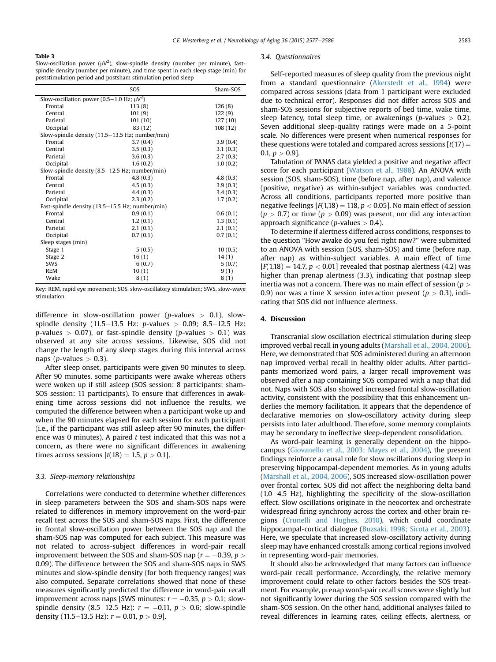#### <span id="page-6-0"></span>Table 3

Slow-oscillation power ( $\mu$ V<sup>2</sup>), slow-spindle density (number per minute), fastspindle density (number per minute), and time spent in each sleep stage (min) for poststimulation period and postsham stimulation period sleep

|                                                                   | SO <sub>S</sub> | Sham-SOS |  |  |
|-------------------------------------------------------------------|-----------------|----------|--|--|
| Slow-oscillation power (0.5–1.0 Hz; $\mu$ V <sup>2</sup> )        |                 |          |  |  |
| Frontal                                                           | 113(8)          | 126(8)   |  |  |
| Central                                                           | 101(9)          | 122(9)   |  |  |
| Parietal                                                          | 101(10)         | 127(10)  |  |  |
| Occipital                                                         | 83 (12)         | 108 (12) |  |  |
| Slow-spindle density $(11.5-13.5 \text{ Hz}; \text{ number/min})$ |                 |          |  |  |
| Frontal                                                           | 3.7(0.4)        | 3.9(0.4) |  |  |
| Central                                                           | 3.5(0.3)        | 3.1(0.3) |  |  |
| Parietal                                                          | 3.6(0.3)        | 2.7(0.3) |  |  |
| Occipital                                                         | 1.6(0.2)        | 1.0(0.2) |  |  |
| Slow-spindle density (8.5-12.5 Hz; number/min)                    |                 |          |  |  |
| Frontal                                                           | 4.8(0.3)        | 4.8(0.3) |  |  |
| Central                                                           | 4.5(0.3)        | 3.9(0.3) |  |  |
| Parietal                                                          | 4.4(0.3)        | 3.4(0.3) |  |  |
| Occipital                                                         | 2.3(0.2)        | 1.7(0.2) |  |  |
| Fast-spindle density (13.5-15.5 Hz; number/min)                   |                 |          |  |  |
| Frontal                                                           | 0.9(0.1)        | 0.6(0.1) |  |  |
| Central                                                           | 1.2(0.1)        | 1.3(0.1) |  |  |
| Parietal                                                          | 2.1(0.1)        | 2.1(0.1) |  |  |
| Occipital                                                         | 0.7(0.1)        | 0.7(0.1) |  |  |
| Sleep stages (min)                                                |                 |          |  |  |
| Stage 1                                                           | 5(0.5)          | 10(0.5)  |  |  |
| Stage 2                                                           | 16(1)           | 14(1)    |  |  |
| <b>SWS</b>                                                        | 6(0.7)          | 5(0.7)   |  |  |
| <b>REM</b>                                                        | 10(1)           | 9(1)     |  |  |
| Wake                                                              | 8(1)            | 8(1)     |  |  |

Key: REM, rapid eye movement; SOS, slow-oscillatory stimulation; SWS, slow-wave stimulation.

difference in slow-oscillation power (p-values  $> 0.1$ ), slowspindle density (11.5–13.5 Hz: p-values > 0.09; 8.5–12.5 Hz:  $p$ -values  $> 0.07$ ), or fast-spindle density ( $p$ -values  $> 0.1$ ) was observed at any site across sessions. Likewise, SOS did not change the length of any sleep stages during this interval across naps (*p*-values  $> 0.3$ ).

After sleep onset, participants were given 90 minutes to sleep. After 90 minutes, some participants were awake whereas others were woken up if still asleep (SOS session: 8 participants; sham-SOS session: 11 participants). To ensure that differences in awakening time across sessions did not influence the results, we computed the difference between when a participant woke up and when the 90 minutes elapsed for each session for each participant (i.e., if the participant was still asleep after 90 minutes, the difference was 0 minutes). A paired  $t$  test indicated that this was not a concern, as there were no significant differences in awakening times across sessions  $[t(18) = 1.5, p > 0.1].$ 

### 3.3. Sleep-memory relationships

Correlations were conducted to determine whether differences in sleep parameters between the SOS and sham-SOS naps were related to differences in memory improvement on the word-pair recall test across the SOS and sham-SOS naps. First, the difference in frontal slow-oscillation power between the SOS nap and the sham-SOS nap was computed for each subject. This measure was not related to across-subject differences in word-pair recall improvement between the SOS and sham-SOS nap ( $r = -0.39$ ,  $p >$ 0.09). The difference between the SOS and sham-SOS naps in SWS minutes and slow-spindle density (for both frequency ranges) was also computed. Separate correlations showed that none of these measures significantly predicted the difference in word-pair recall improvement across naps [SWS minutes:  $r = -0.35, p > 0.1$ ; slowspindle density (8.5–12.5 Hz):  $r = -0.11, p > 0.6$ ; slow-spindle density (11.5–13.5 Hz):  $r = 0.01$ ,  $p > 0.9$ ].

#### 3.4. Questionnaires

Self-reported measures of sleep quality from the previous night from a standard questionnaire [\(Akerstedt et al., 1994](#page-8-0)) were compared across sessions (data from 1 participant were excluded due to technical error). Responses did not differ across SOS and sham-SOS sessions for subjective reports of bed time, wake time, sleep latency, total sleep time, or awakenings (*p*-values  $> 0.2$ ). Seven additional sleep-quality ratings were made on a 5-point scale. No differences were present when numerical responses for these questions were totaled and compared across sessions  $[t(17) =$ 0.1,  $p > 0.9$ ].

Tabulation of PANAS data yielded a positive and negative affect score for each participant [\(Watson et al., 1988\)](#page-9-0). An ANOVA with session (SOS, sham-SOS), time (before nap, after nap), and valence (positive, negative) as within-subject variables was conducted. Across all conditions, participants reported more positive than negative feelings  $[F(1,18) = 118, p < 0.05]$ . No main effect of session  $(p > 0.7)$  or time  $(p > 0.09)$  was present, nor did any interaction approach significance ( $p$ -values  $> 0.4$ ).

To determine if alertness differed across conditions, responses to the question "How awake do you feel right now?" were submitted to an ANOVA with session (SOS, sham-SOS) and time (before nap, after nap) as within-subject variables. A main effect of time  $[F(1,18) = 14.7, p < 0.01]$  revealed that postnap alertness (4.2) was higher than prenap alertness (3.3), indicating that postnap sleep inertia was not a concern. There was no main effect of session ( $p >$ 0.9) nor was a time X session interaction present ( $p > 0.3$ ), indicating that SOS did not influence alertness.

#### 4. Discussion

Transcranial slow oscillation electrical stimulation during sleep improved verbal recall in young adults [\(Marshall et al., 2004, 2006\)](#page-9-0). Here, we demonstrated that SOS administered during an afternoon nap improved verbal recall in healthy older adults. After participants memorized word pairs, a larger recall improvement was observed after a nap containing SOS compared with a nap that did not. Naps with SOS also showed increased frontal slow-oscillation activity, consistent with the possibility that this enhancement underlies the memory facilitation. It appears that the dependence of declarative memories on slow-oscillatory activity during sleep persists into later adulthood. Therefore, some memory complaints may be secondary to ineffective sleep-dependent consolidation.

As word-pair learning is generally dependent on the hippocampus ([Giovanello et al., 2003; Mayes et al., 2004\)](#page-8-0), the present findings reinforce a causal role for slow oscillations during sleep in preserving hippocampal-dependent memories. As in young adults [\(Marshall et al., 2004, 2006\)](#page-9-0), SOS increased slow-oscillation power over frontal cortex. SOS did not affect the neighboring delta band  $(1.0-4.5$  Hz), highlighting the specificity of the slow-oscillation effect. Slow oscillations originate in the neocortex and orchestrate widespread firing synchrony across the cortex and other brain regions [\(Crunelli and Hughes, 2010\)](#page-8-0), which could coordinate hippocampal-cortical dialogue ([Buzsaki, 1998; Sirota et al., 2003\)](#page-8-0). Here, we speculate that increased slow-oscillatory activity during sleep may have enhanced crosstalk among cortical regions involved in representing word-pair memories.

It should also be acknowledged that many factors can influence word-pair recall performance. Accordingly, the relative memory improvement could relate to other factors besides the SOS treatment. For example, prenap word-pair recall scores were slightly but not significantly lower during the SOS session compared with the sham-SOS session. On the other hand, additional analyses failed to reveal differences in learning rates, ceiling effects, alertness, or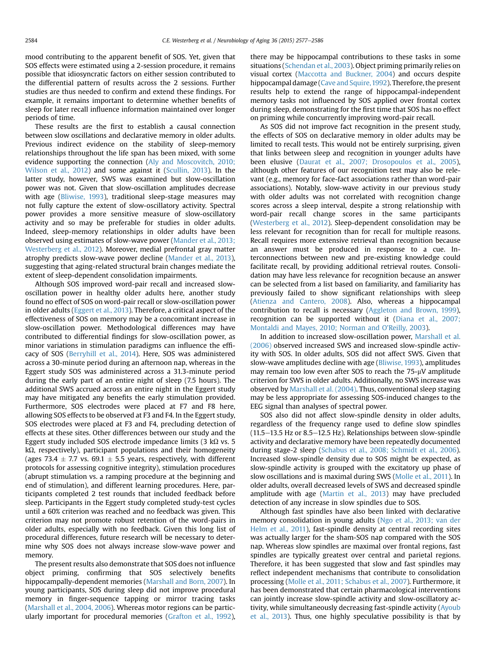mood contributing to the apparent benefit of SOS. Yet, given that SOS effects were estimated using a 2-session procedure, it remains possible that idiosyncratic factors on either session contributed to the differential pattern of results across the 2 sessions. Further studies are thus needed to confirm and extend these findings. For example, it remains important to determine whether benefits of sleep for later recall influence information maintained over longer periods of time.

These results are the first to establish a causal connection between slow oscillations and declarative memory in older adults. Previous indirect evidence on the stability of sleep-memory relationships throughout the life span has been mixed, with some evidence supporting the connection ([Aly and Moscovitch, 2010;](#page-8-0) [Wilson et al., 2012\)](#page-8-0) and some against it [\(Scullin, 2013\)](#page-9-0). In the latter study, however, SWS was examined but slow-oscillation power was not. Given that slow-oscillation amplitudes decrease with age ([Bliwise, 1993](#page-8-0)), traditional sleep-stage measures may not fully capture the extent of slow-oscillatory activity. Spectral power provides a more sensitive measure of slow-oscillatory activity and so may be preferable for studies in older adults. Indeed, sleep-memory relationships in older adults have been observed using estimates of slow-wave power ([Mander et al., 2013;](#page-9-0) [Westerberg et al., 2012\)](#page-9-0). Moreover, medial prefrontal gray matter atrophy predicts slow-wave power decline [\(Mander et al., 2013\)](#page-9-0), suggesting that aging-related structural brain changes mediate the extent of sleep-dependent consolidation impairments.

Although SOS improved word-pair recall and increased slowoscillation power in healthy older adults here, another study found no effect of SOS on word-pair recall or slow-oscillation power in older adults ([Eggert et al., 2013](#page-8-0)). Therefore, a critical aspect of the effectiveness of SOS on memory may be a concomitant increase in slow-oscillation power. Methodological differences may have contributed to differential findings for slow-oscillation power, as minor variations in stimulation paradigms can influence the efficacy of SOS ([Berryhill et al., 2014\)](#page-8-0). Here, SOS was administered across a 30-minute period during an afternoon nap, whereas in the Eggert study SOS was administered across a 31.3-minute period during the early part of an entire night of sleep (7.5 hours). The additional SWS accrued across an entire night in the Eggert study may have mitigated any benefits the early stimulation provided. Furthermore, SOS electrodes were placed at F7 and F8 here, allowing SOS effects to be observed at F3 and F4. In the Eggert study, SOS electrodes were placed at F3 and F4, precluding detection of effects at these sites. Other differences between our study and the Eggert study included SOS electrode impedance limits  $(3 \text{ k}\Omega \text{ vs. } 5)$  $k\Omega$ , respectively), participant populations and their homogeneity (ages 73.4  $\pm$  7.7 vs. 69.1  $\pm$  5.5 years, respectively, with different protocols for assessing cognitive integrity), stimulation procedures (abrupt stimulation vs. a ramping procedure at the beginning and end of stimulation), and different learning procedures. Here, participants completed 2 test rounds that included feedback before sleep. Participants in the Eggert study completed study-test cycles until a 60% criterion was reached and no feedback was given. This criterion may not promote robust retention of the word-pairs in older adults, especially with no feedback. Given this long list of procedural differences, future research will be necessary to determine why SOS does not always increase slow-wave power and memory.

The present results also demonstrate that SOS does not influence object priming, confirming that SOS selectively benefits hippocampally-dependent memories [\(Marshall and Born, 2007](#page-9-0)). In young participants, SOS during sleep did not improve procedural memory in finger-sequence tapping or mirror tracing tasks [\(Marshall et al., 2004, 2006\)](#page-9-0). Whereas motor regions can be particularly important for procedural memories [\(Grafton et al., 1992\)](#page-8-0),

there may be hippocampal contributions to these tasks in some situations [\(Schendan et al., 2003](#page-9-0)). Object priming primarily relies on visual cortex ([Maccotta and Buckner, 2004\)](#page-8-0) and occurs despite hippocampal damage [\(Cave and Squire,1992\)](#page-8-0). Therefore, the present results help to extend the range of hippocampal-independent memory tasks not influenced by SOS applied over frontal cortex during sleep, demonstrating for the first time that SOS has no effect on priming while concurrently improving word-pair recall.

As SOS did not improve fact recognition in the present study, the effects of SOS on declarative memory in older adults may be limited to recall tests. This would not be entirely surprising, given that links between sleep and recognition in younger adults have been elusive ([Daurat et al., 2007; Drosopoulos et al., 2005\)](#page-8-0), although other features of our recognition test may also be relevant (e.g., memory for face-fact associations rather than word-pair associations). Notably, slow-wave activity in our previous study with older adults was not correlated with recognition change scores across a sleep interval, despite a strong relationship with word-pair recall change scores in the same participants ([Westerberg et al., 2012\)](#page-9-0). Sleep-dependent consolidation may be less relevant for recognition than for recall for multiple reasons. Recall requires more extensive retrieval than recognition because an answer must be produced in response to a cue. Interconnections between new and pre-existing knowledge could facilitate recall, by providing additional retrieval routes. Consolidation may have less relevance for recognition because an answer can be selected from a list based on familiarity, and familiarity has previously failed to show significant relationships with sleep ([Atienza and Cantero, 2008](#page-8-0)). Also, whereas a hippocampal contribution to recall is necessary ([Aggleton and Brown, 1999\)](#page-8-0), recognition can be supported without it [\(Diana et al., 2007;](#page-8-0) [Montaldi and Mayes, 2010; Norman and O](#page-8-0)'Reilly, 2003).

In addition to increased slow-oscillation power, [Marshall et al.](#page-9-0) [\(2006\)](#page-9-0) observed increased SWS and increased slow-spindle activity with SOS. In older adults, SOS did not affect SWS. Given that slow-wave amplitudes decline with age [\(Bliwise, 1993](#page-8-0)), amplitudes may remain too low even after SOS to reach the  $75-\mu V$  amplitude criterion for SWS in older adults. Additionally, no SWS increase was observed by [Marshall et al. \(2004\).](#page-9-0) Thus, conventional sleep staging may be less appropriate for assessing SOS-induced changes to the EEG signal than analyses of spectral power.

SOS also did not affect slow-spindle density in older adults, regardless of the frequency range used to define slow spindles  $(11.5-13.5$  Hz or 8.5 $-12.5$  Hz). Relationships between slow-spindle activity and declarative memory have been repeatedly documented during stage-2 sleep ([Schabus et al., 2008; Schmidt et al., 2006\)](#page-9-0). Increased slow-spindle density due to SOS might be expected, as slow-spindle activity is grouped with the excitatory up phase of slow oscillations and is maximal during SWS [\(Molle et al., 2011\)](#page-9-0). In older adults, overall decreased levels of SWS and decreased spindle amplitude with age [\(Martin et al., 2013](#page-9-0)) may have precluded detection of any increase in slow spindles due to SOS.

Although fast spindles have also been linked with declarative memory consolidation in young adults [\(Ngo et al., 2013; van der](#page-9-0) [Helm et al., 2011\)](#page-9-0), fast-spindle density at central recording sites was actually larger for the sham-SOS nap compared with the SOS nap. Whereas slow spindles are maximal over frontal regions, fast spindles are typically greatest over central and parietal regions. Therefore, it has been suggested that slow and fast spindles may reflect independent mechanisms that contribute to consolidation processing [\(Molle et al., 2011; Schabus et al., 2007](#page-9-0)). Furthermore, it has been demonstrated that certain pharmacological interventions can jointly increase slow-spindle activity and slow-oscillatory activity, while simultaneously decreasing fast-spindle activity ([Ayoub](#page-8-0) [et al., 2013](#page-8-0)). Thus, one highly speculative possibility is that by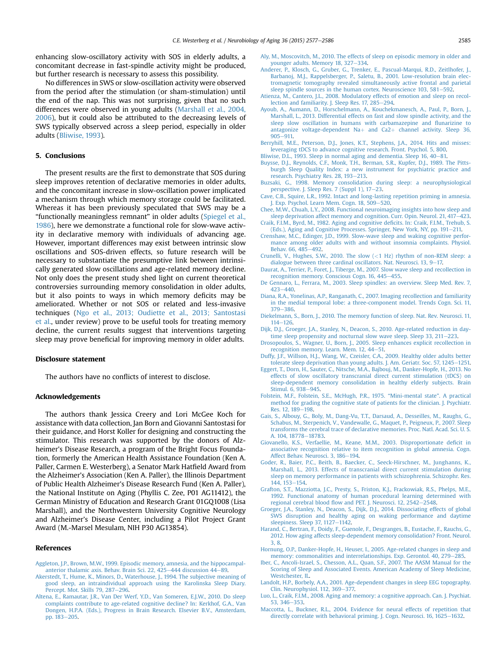<span id="page-8-0"></span>enhancing slow-oscillatory activity with SOS in elderly adults, a concomitant decrease in fast-spindle activity might be produced, but further research is necessary to assess this possibility.

No differences in SWS or slow-oscillation activity were observed from the period after the stimulation (or sham-stimulation) until the end of the nap. This was not surprising, given that no such differences were observed in young adults ([Marshall et al., 2004,](#page-9-0) [2006\)](#page-9-0), but it could also be attributed to the decreasing levels of SWS typically observed across a sleep period, especially in older adults (Bliwise, 1993).

## 5. Conclusions

The present results are the first to demonstrate that SOS during sleep improves retention of declarative memories in older adults, and the concomitant increase in slow-oscillation power implicated a mechanism through which memory storage could be facilitated. Whereas it has been previously speculated that SWS may be a "functionally meaningless remnant" in older adults ([Spiegel et al.,](#page-9-0) [1986\)](#page-9-0), here we demonstrate a functional role for slow-wave activity in declarative memory with individuals of advancing age. However, important differences may exist between intrinsic slow oscillations and SOS-driven effects, so future research will be necessary to substantiate the presumptive link between intrinsically generated slow oscillations and age-related memory decline. Not only does the present study shed light on current theoretical controversies surrounding memory consolidation in older adults, but it also points to ways in which memory deficits may be ameliorated. Whether or not SOS or related and less-invasive techniques ([Ngo et al., 2013; Oudiette et al., 2013; Santostasi](#page-9-0) [et al.](#page-9-0), under review) prove to be useful tools for treating memory decline, the current results suggest that interventions targeting sleep may prove beneficial for improving memory in older adults.

#### Disclosure statement

The authors have no conflicts of interest to disclose.

#### Acknowledgements

The authors thank Jessica Creery and Lori McGee Koch for assistance with data collection, Jan Born and Giovanni Santostasi for their guidance, and Horst Koller for designing and constructing the stimulator. This research was supported by the donors of Alzheimer's Disease Research, a program of the Bright Focus Foundation, formerly the American Health Assistance Foundation (Ken A. Paller, Carmen E. Westerberg), a Senator Mark Hatfield Award from the Alzheimer's Association (Ken A. Paller), the Illinois Department of Public Health Alzheimer's Disease Research Fund (Ken A. Paller), the National Institute on Aging (Phyllis C. Zee, P01 AG11412), the German Ministry of Education and Research Grant 01GQ1008 (Lisa Marshall), and the Northwestern University Cognitive Neurology and Alzheimer's Disease Center, including a Pilot Project Grant Award (M.-Marsel Mesulam, NIH P30 AG13854).

### References

- [Aggleton, J.P., Brown, M.W., 1999. Episodic memory, amnesia, and the hippocampal](http://refhub.elsevier.com/S0197-4580(15)00295-X/sref1)[anterior thalamic axis. Behav. Brain Sci. 22, 425](http://refhub.elsevier.com/S0197-4580(15)00295-X/sref1)-[444 discussion 44](http://refhub.elsevier.com/S0197-4580(15)00295-X/sref1)-[89](http://refhub.elsevier.com/S0197-4580(15)00295-X/sref1).
- [Akerstedt, T., Hume, K., Minors, D., Waterhouse, J., 1994. The subjective meaning of](http://refhub.elsevier.com/S0197-4580(15)00295-X/sref2) [good sleep, an intraindividual approach using the Karolinska Sleep Diary.](http://refhub.elsevier.com/S0197-4580(15)00295-X/sref2) [Percept. Mot. Skills 79, 287](http://refhub.elsevier.com/S0197-4580(15)00295-X/sref2)-[296.](http://refhub.elsevier.com/S0197-4580(15)00295-X/sref2)
- [Altena, E., Ramautar, J.R., Van Der Werf, Y.D., Van Someren, E.J.W., 2010. Do sleep](http://refhub.elsevier.com/S0197-4580(15)00295-X/sref3) [complaints contribute to age-related cognitive decline? In: Kerkhof, G.A., Van](http://refhub.elsevier.com/S0197-4580(15)00295-X/sref3) [Dongen, H.P.A. \(Eds.\), Progress in Brain Research. Elsevier B.V., Amsterdam,](http://refhub.elsevier.com/S0197-4580(15)00295-X/sref3) [pp. 183](http://refhub.elsevier.com/S0197-4580(15)00295-X/sref3)-[205.](http://refhub.elsevier.com/S0197-4580(15)00295-X/sref3)
- [Aly, M., Moscovitch, M., 2010. The effects of sleep on episodic memory in older and](http://refhub.elsevier.com/S0197-4580(15)00295-X/sref4) [younger adults. Memory 18, 327](http://refhub.elsevier.com/S0197-4580(15)00295-X/sref4)-[334](http://refhub.elsevier.com/S0197-4580(15)00295-X/sref4).
- [Anderer, P., Klosch, G., Gruber, G., Trenker, E., Pascual-Marqui, R.D., Zeitlhofer, J.,](http://refhub.elsevier.com/S0197-4580(15)00295-X/sref5) [Barbanoj, M.J., Rappelsberger, P., Saletu, B., 2001. Low-resolution brain elec](http://refhub.elsevier.com/S0197-4580(15)00295-X/sref5)[tromagnetic tomography revealed simultaneously active frontal and parietal](http://refhub.elsevier.com/S0197-4580(15)00295-X/sref5) [sleep spindle sources in the human cortex. Neuroscience 103, 581](http://refhub.elsevier.com/S0197-4580(15)00295-X/sref5)-[592](http://refhub.elsevier.com/S0197-4580(15)00295-X/sref5).
- [Atienza, M., Cantero, J.L., 2008. Modulatory effects of emotion and sleep on recol](http://refhub.elsevier.com/S0197-4580(15)00295-X/sref6)[lection and familiarity. J. Sleep Res. 17, 285](http://refhub.elsevier.com/S0197-4580(15)00295-X/sref6)-[294.](http://refhub.elsevier.com/S0197-4580(15)00295-X/sref6)
- [Ayoub, A., Aumann, D., Horschelmann, A., Kouchekmanesch, A., Paul, P., Born, J.,](http://refhub.elsevier.com/S0197-4580(15)00295-X/sref7) [Marshall, L., 2013. Differential effects on fast and slow spindle activity, and the](http://refhub.elsevier.com/S0197-4580(15)00295-X/sref7) [sleep slow oscillation in humans with carbamazepine and](http://refhub.elsevier.com/S0197-4580(15)00295-X/sref7) flunarizine to antagonize voltage-dependent  $Na+$  and  $Ca2+$  [channel activity. Sleep 36,](http://refhub.elsevier.com/S0197-4580(15)00295-X/sref7)  $905 - 911$  $905 - 911$
- [Berryhill, M.E., Peterson, D.J., Jones, K.T., Stephens, J.A., 2014. Hits and misses:](http://refhub.elsevier.com/S0197-4580(15)00295-X/sref8) [leveraging tDCS to advance cognitive research. Front. Psychol. 5, 800](http://refhub.elsevier.com/S0197-4580(15)00295-X/sref8).
- [Bliwise, D.L., 1993. Sleep in normal aging and dementia. Sleep 16, 40](http://refhub.elsevier.com/S0197-4580(15)00295-X/sref9)-[81.](http://refhub.elsevier.com/S0197-4580(15)00295-X/sref9)
- [Buysse, D.J., Reynolds, C.F., Monk, T.H., Berman, S.R., Kupfer, D.J., 1989. The Pitts](http://refhub.elsevier.com/S0197-4580(15)00295-X/sref10)[burgh Sleep Quality Index: a new instrument for psychiatric practice and](http://refhub.elsevier.com/S0197-4580(15)00295-X/sref10) [research. Psychiatry Res. 28, 193](http://refhub.elsevier.com/S0197-4580(15)00295-X/sref10)-[213](http://refhub.elsevier.com/S0197-4580(15)00295-X/sref10).
- [Buzsaki, G., 1998. Memory consolidation during sleep: a neurophysiological](http://refhub.elsevier.com/S0197-4580(15)00295-X/sref11) [perspective. J. Sleep Res. 7 \(Suppl 1\), 17](http://refhub.elsevier.com/S0197-4580(15)00295-X/sref11)-[23](http://refhub.elsevier.com/S0197-4580(15)00295-X/sref11).
- [Cave, C.B., Squire, L.R., 1992. Intact and long-lasting repetition priming in amnesia.](http://refhub.elsevier.com/S0197-4580(15)00295-X/sref12) [J. Exp. Psychol. Learn Mem. Cogn. 18, 509](http://refhub.elsevier.com/S0197-4580(15)00295-X/sref12)-[520.](http://refhub.elsevier.com/S0197-4580(15)00295-X/sref12)
- [Chee, M.W., Chuah, L.Y., 2008. Functional neuroimaging insights into how sleep and](http://refhub.elsevier.com/S0197-4580(15)00295-X/sref13) [sleep deprivation affect memory and cognition. Curr. Opin. Neurol. 21, 417](http://refhub.elsevier.com/S0197-4580(15)00295-X/sref13)-[423](http://refhub.elsevier.com/S0197-4580(15)00295-X/sref13).
- [Craik, F.I.M., Byrd, M., 1982. Aging and cognitive de](http://refhub.elsevier.com/S0197-4580(15)00295-X/sref14)ficits. In: Craik, F.I.M., Trehub, S. [\(Eds.\), Aging and Cognitive Processes. Springer, New York, NY, pp. 191](http://refhub.elsevier.com/S0197-4580(15)00295-X/sref14)-[211.](http://refhub.elsevier.com/S0197-4580(15)00295-X/sref14)
- [Crenshaw, M.C., Edinger, J.D., 1999. Slow-wave sleep and waking cognitive perfor](http://refhub.elsevier.com/S0197-4580(15)00295-X/sref15)[mance among older adults with and without insomnia complaints. Physiol.](http://refhub.elsevier.com/S0197-4580(15)00295-X/sref15) [Behav. 66, 485](http://refhub.elsevier.com/S0197-4580(15)00295-X/sref15)-[492.](http://refhub.elsevier.com/S0197-4580(15)00295-X/sref15)
- Crunelli, V., Hughes, S.W., 2010. The slow  $\left($  <[1 Hz\) rhythm of non-REM sleep: a](http://refhub.elsevier.com/S0197-4580(15)00295-X/sref16) [dialogue between three cardinal oscillators. Nat. Neurosci. 13, 9](http://refhub.elsevier.com/S0197-4580(15)00295-X/sref16)-[17.](http://refhub.elsevier.com/S0197-4580(15)00295-X/sref16)
- [Daurat, A., Terrier, P., Foret, J., Tiberge, M., 2007. Slow wave sleep and recollection in](http://refhub.elsevier.com/S0197-4580(15)00295-X/sref17) [recognition memory. Conscious Cogn. 16, 445](http://refhub.elsevier.com/S0197-4580(15)00295-X/sref17)-[455.](http://refhub.elsevier.com/S0197-4580(15)00295-X/sref17)
- [De Gennaro, L., Ferrara, M., 2003. Sleep spindles: an overview. Sleep Med. Rev. 7,](http://refhub.elsevier.com/S0197-4580(15)00295-X/sref18)  $423 - 440.$  $423 - 440.$  $423 - 440.$  $423 - 440.$
- [Diana, R.A., Yonelinas, A.P., Ranganath, C., 2007. Imaging recollection and familiarity](http://refhub.elsevier.com/S0197-4580(15)00295-X/sref19) [in the medial temporal lobe: a three-component model. Trends Cogn. Sci. 11,](http://refhub.elsevier.com/S0197-4580(15)00295-X/sref19) [379](http://refhub.elsevier.com/S0197-4580(15)00295-X/sref19)-[386.](http://refhub.elsevier.com/S0197-4580(15)00295-X/sref19)
- [Diekelmann, S., Born, J., 2010. The memory function of sleep. Nat. Rev. Neurosci. 11,](http://refhub.elsevier.com/S0197-4580(15)00295-X/sref20)  $114 - 126$  $114 - 126$  $114 - 126$ .
- [Dijk, D.J., Groeger, J.A., Stanley, N., Deacon, S., 2010. Age-related reduction in day](http://refhub.elsevier.com/S0197-4580(15)00295-X/sref21)time sleep propensity and nocturnal slow wave sleep. Sleep  $33, 211-223$ .
- [Drosopoulos, S., Wagner, U., Born, J., 2005. Sleep enhances explicit recollection in](http://refhub.elsevier.com/S0197-4580(15)00295-X/sref22)
- [recognition memory. Learn. Mem. 12, 44](http://refhub.elsevier.com/S0197-4580(15)00295-X/sref22)–[51.](http://refhub.elsevier.com/S0197-4580(15)00295-X/sref22)<br>[Duffy, J.F., Willson, H.J., Wang, W., Czeisler, C.A., 2009. Healthy older adults better](http://refhub.elsevier.com/S0197-4580(15)00295-X/sref23) [tolerate sleep deprivation than young adults. J. Am. Geriatr. Soc. 57, 1245](http://refhub.elsevier.com/S0197-4580(15)00295-X/sref23)-[1251.](http://refhub.elsevier.com/S0197-4580(15)00295-X/sref23)
- [Eggert, T., Dorn, H., Sauter, C., Nitsche, M.A., Bajbouj, M., Danker-Hopfe, H., 2013. No](http://refhub.elsevier.com/S0197-4580(15)00295-X/sref24) [effects of slow oscillatory transcranial direct current stimulation \(tDCS\) on](http://refhub.elsevier.com/S0197-4580(15)00295-X/sref24) [sleep-dependent memory consolidation in healthy elderly subjects. Brain](http://refhub.elsevier.com/S0197-4580(15)00295-X/sref24) [Stimul. 6, 938](http://refhub.elsevier.com/S0197-4580(15)00295-X/sref24)-[945.](http://refhub.elsevier.com/S0197-4580(15)00295-X/sref24)
- [Folstein, M.F., Folstein, S.E., McHugh, P.R., 1975.](http://refhub.elsevier.com/S0197-4580(15)00295-X/sref25) "Mini-mental state". A practical [method for grading the cognitive state of patients for the clinician. J. Psychiatr.](http://refhub.elsevier.com/S0197-4580(15)00295-X/sref25) [Res. 12, 189](http://refhub.elsevier.com/S0197-4580(15)00295-X/sref25)-[198.](http://refhub.elsevier.com/S0197-4580(15)00295-X/sref25)
- [Gais, S., Albouy, G., Boly, M., Dang-Vu, T.T., Darsaud, A., Desseilles, M., Raughs, G.,](http://refhub.elsevier.com/S0197-4580(15)00295-X/sref26) [Schabus, M., Sterpenich, V., Vandewalle, G., Maquet, P., Peigneux, P., 2007. Sleep](http://refhub.elsevier.com/S0197-4580(15)00295-X/sref26) [transforms the cerebral trace of declarative memories. Proc. Natl. Acad. Sci. U. S.](http://refhub.elsevier.com/S0197-4580(15)00295-X/sref26) [A. 104, 18778](http://refhub.elsevier.com/S0197-4580(15)00295-X/sref26)-[18783.](http://refhub.elsevier.com/S0197-4580(15)00295-X/sref26)
- [Giovanello, K.S., Verfaellie, M., Keane, M.M., 2003. Disproportionate de](http://refhub.elsevier.com/S0197-4580(15)00295-X/sref27)ficit in [associative recognition relative to item recognition in global amnesia. Cogn.](http://refhub.elsevier.com/S0197-4580(15)00295-X/sref27) [Affect Behav. Neurosci. 3, 186](http://refhub.elsevier.com/S0197-4580(15)00295-X/sref27)-[194](http://refhub.elsevier.com/S0197-4580(15)00295-X/sref27).
- [Goder, R., Baier, P.C., Beith, B., Baecker, C., Seeck-Hirschner, M., Junghanns, K.,](http://refhub.elsevier.com/S0197-4580(15)00295-X/sref28) [Marshall, L., 2013. Effects of transcranial direct current stimulation during](http://refhub.elsevier.com/S0197-4580(15)00295-X/sref28) [sleep on memory performance in patients with schizophrenia. Schizophr. Res.](http://refhub.elsevier.com/S0197-4580(15)00295-X/sref28) [144, 153](http://refhub.elsevier.com/S0197-4580(15)00295-X/sref28)-[154.](http://refhub.elsevier.com/S0197-4580(15)00295-X/sref28)
- [Grafton, S.T., Mazziotta, J.C., Presty, S., Friston, K.J., Frackowiak, R.S., Phelps, M.E.,](http://refhub.elsevier.com/S0197-4580(15)00295-X/sref29) [1992. Functional anatomy of human procedural learning determined with](http://refhub.elsevier.com/S0197-4580(15)00295-X/sref29) regional cerebral blood fl[ow and PET. J. Neurosci. 12, 2542](http://refhub.elsevier.com/S0197-4580(15)00295-X/sref29)-[2548](http://refhub.elsevier.com/S0197-4580(15)00295-X/sref29).
- [Groeger, J.A., Stanley, N., Deacon, S., Dijk, D.J., 2014. Dissociating effects of global](http://refhub.elsevier.com/S0197-4580(15)00295-X/sref30) [SWS disruption and healthy aging on waking performance and daytime](http://refhub.elsevier.com/S0197-4580(15)00295-X/sref30) [sleepiness. Sleep 37, 1127](http://refhub.elsevier.com/S0197-4580(15)00295-X/sref30)-[1142](http://refhub.elsevier.com/S0197-4580(15)00295-X/sref30).
- [Harand, C., Bertran, F., Doidy, F., Guenole, F., Desgranges, B., Eustache, F., Rauchs, G.,](http://refhub.elsevier.com/S0197-4580(15)00295-X/sref31) [2012. How aging affects sleep-dependent memory consolidation? Front. Neurol.](http://refhub.elsevier.com/S0197-4580(15)00295-X/sref31) [3, 8](http://refhub.elsevier.com/S0197-4580(15)00295-X/sref31).
- [Hornung, O.P., Danker-Hopfe, H., Heuser, I., 2005. Age-related changes in sleep and](http://refhub.elsevier.com/S0197-4580(15)00295-X/sref32) [memory: commonalities and interrelationships. Exp. Gerontol. 40, 279](http://refhub.elsevier.com/S0197-4580(15)00295-X/sref32)-[285.](http://refhub.elsevier.com/S0197-4580(15)00295-X/sref32)
- [Iber, C., Ancoli-Israel, S., Chesson, A.L., Quan, S.F., 2007. The AASM Manual for the](http://refhub.elsevier.com/S0197-4580(15)00295-X/sref33) [Scoring of Sleep and Associated Events. American Academy of Sleep Medicine,](http://refhub.elsevier.com/S0197-4580(15)00295-X/sref33) [Westchester, IL](http://refhub.elsevier.com/S0197-4580(15)00295-X/sref33).
- [Landolt, H.P., Borbely, A.A., 2001. Age-dependent changes in sleep EEG topography.](http://refhub.elsevier.com/S0197-4580(15)00295-X/sref34) [Clin. Neurophysiol. 112, 369](http://refhub.elsevier.com/S0197-4580(15)00295-X/sref34)-[377.](http://refhub.elsevier.com/S0197-4580(15)00295-X/sref34)
- [Luo, L., Craik, F.I.M., 2008. Aging and memory: a cognitive approach. Can. J. Psychiat.](http://refhub.elsevier.com/S0197-4580(15)00295-X/sref35) [53, 346](http://refhub.elsevier.com/S0197-4580(15)00295-X/sref35)-[353](http://refhub.elsevier.com/S0197-4580(15)00295-X/sref35).
- [Maccotta, L., Buckner, R.L., 2004. Evidence for neural effects of repetition that](http://refhub.elsevier.com/S0197-4580(15)00295-X/sref36) [directly correlate with behavioral priming. J. Cogn. Neurosci. 16, 1625](http://refhub.elsevier.com/S0197-4580(15)00295-X/sref36)-[1632.](http://refhub.elsevier.com/S0197-4580(15)00295-X/sref36)